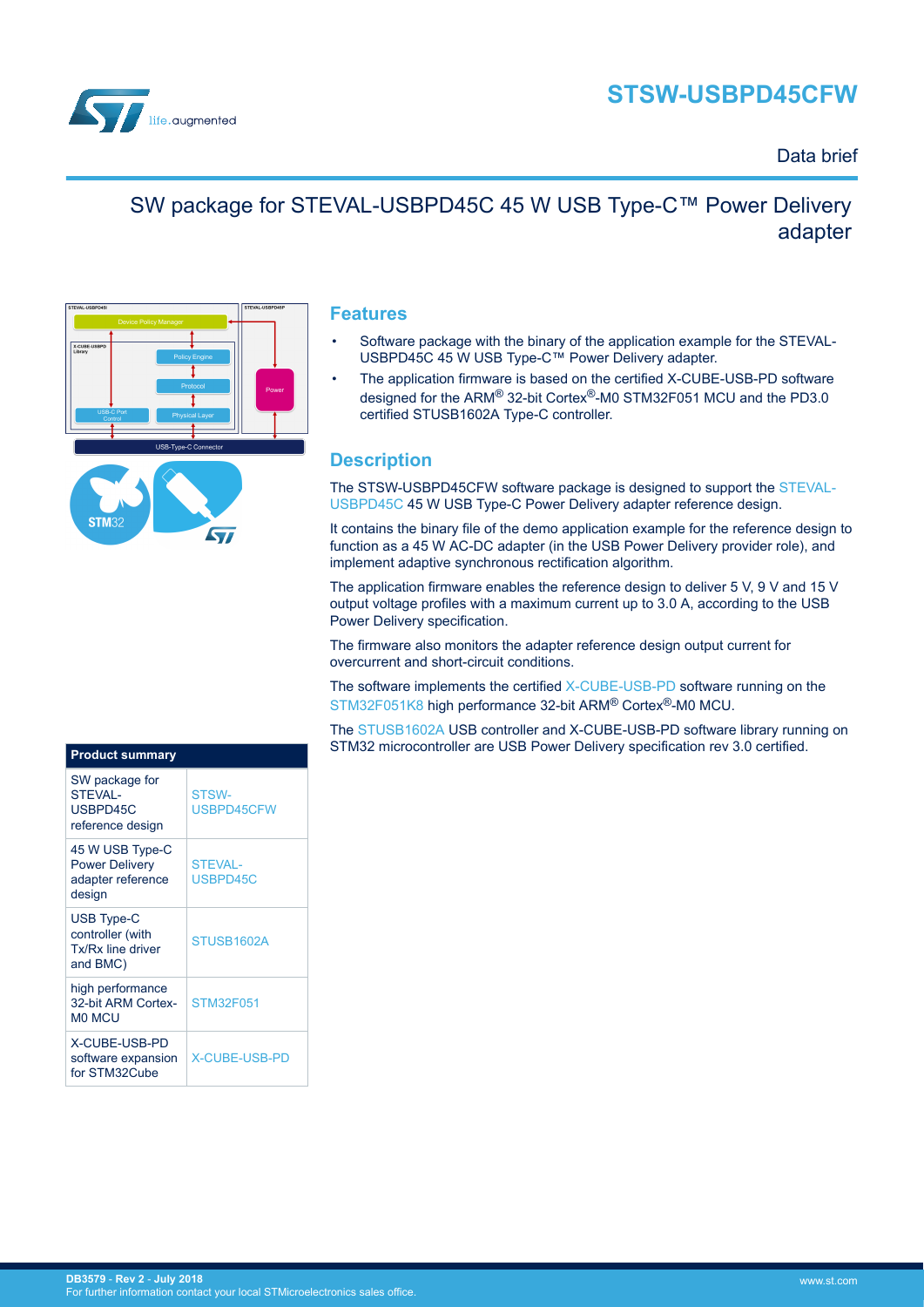# **STSW-USBPD45CFW**



### Data brief

## SW package for STEVAL-USBPD45C 45 W USB Type-C™ Power Delivery adapter



#### **Features**

- Software package with the binary of the application example for the STEVAL-USBPD45C 45 W USB Type-C™ Power Delivery adapter.
- The application firmware is based on the certified X-CUBE-USB-PD software designed for the ARM® 32-bit Cortex®-M0 STM32F051 MCU and the PD3.0 certified STUSB1602A Type-C controller.

#### **Description**

The STSW-USBPD45CFW software package is designed to support the [STEVAL-](http://www.st.com/en/product/steval-usbpd45c.html)[USBPD45C](http://www.st.com/en/product/steval-usbpd45c.html) 45 W USB Type-C Power Delivery adapter reference design.

It contains the binary file of the demo application example for the reference design to function as a 45 W AC-DC adapter (in the USB Power Delivery provider role), and implement adaptive synchronous rectification algorithm.

The application firmware enables the reference design to deliver 5 V, 9 V and 15 V output voltage profiles with a maximum current up to 3.0 A, according to the USB Power Delivery specification.

The firmware also monitors the adapter reference design output current for overcurrent and short-circuit conditions.

The software implements the certified [X-CUBE-USB-PD](http://www.st.com/en/product/x-cube-usb-pd.html) software running on the [STM32F051K8](http://www.st.com/en/product/stm32f051k8.html) high performance 32-bit ARM® Cortex®-M0 MCU.

The [STUSB1602A](http://www.st.com/en/product/stusb1602.html) USB controller and X-CUBE-USB-PD software library running on STM32 microcontroller are USB Power Delivery specification rev 3.0 certified.

| <u>Prod</u> uct summary                                                 |                            |
|-------------------------------------------------------------------------|----------------------------|
| SW package for<br><b>STEVAL-</b><br>USBPD45C<br>reference design        | <b>STSW-</b><br>USBPD45CFW |
| 45 W USB Type-C<br><b>Power Delivery</b><br>adapter reference<br>design | <b>STEVAL-</b><br>USBPD45C |
| <b>USB Type-C</b><br>controller (with<br>Tx/Rx line driver<br>and BMC)  | STUSB1602A                 |
| high performance<br>32-bit ARM Cortex-<br><b>MO MCU</b>                 | <b>STM32F051</b>           |
| X-CUBE-USB-PD<br>software expansion<br>for STM32Cube                    | <b>X-CUBE-USB-PD</b>       |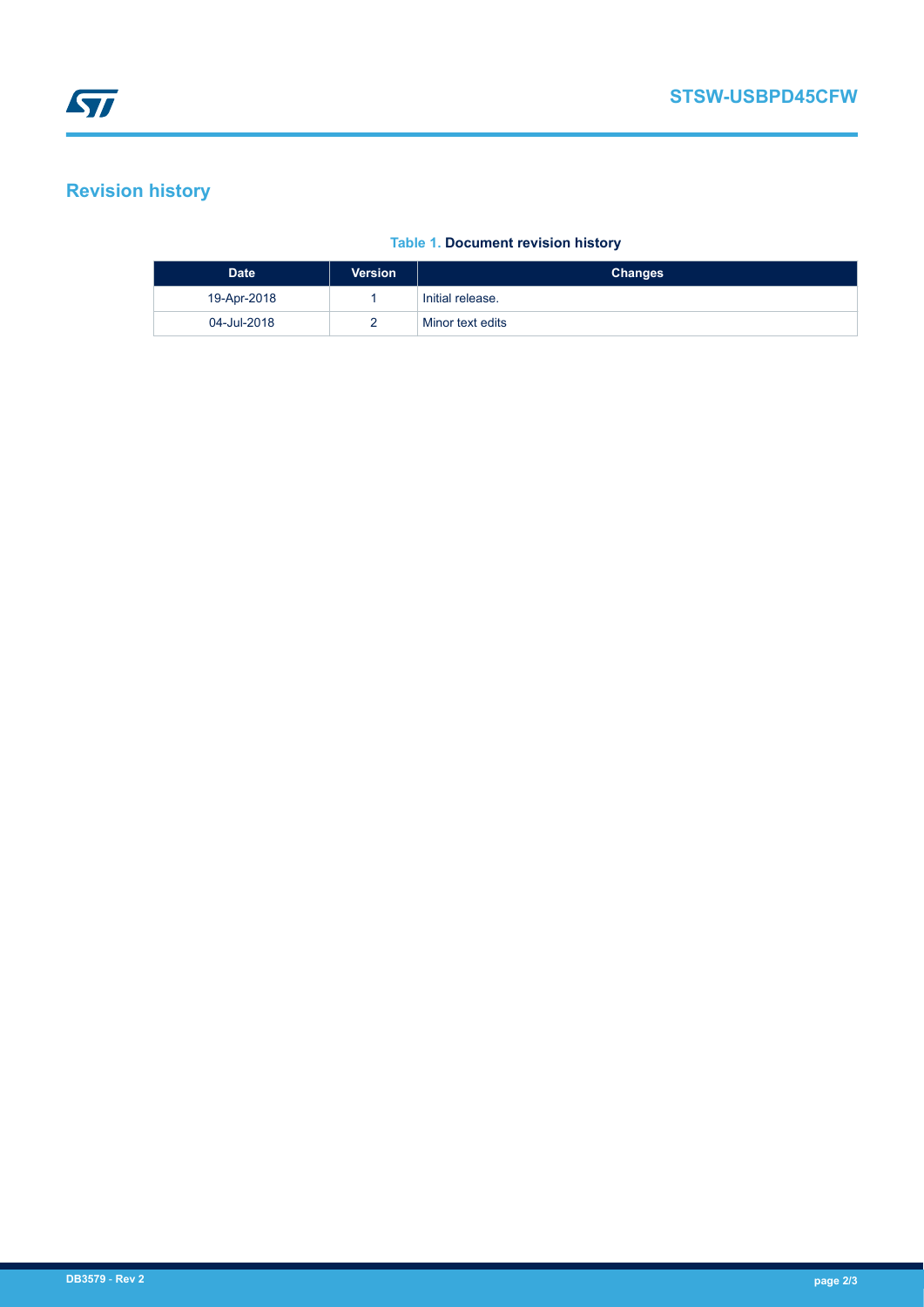### **Revision history**

#### **Table 1. Document revision history**

| <b>Date</b> | <b>Version</b> | <b>Changes</b>   |
|-------------|----------------|------------------|
| 19-Apr-2018 |                | Initial release. |
| 04-Jul-2018 |                | Minor text edits |